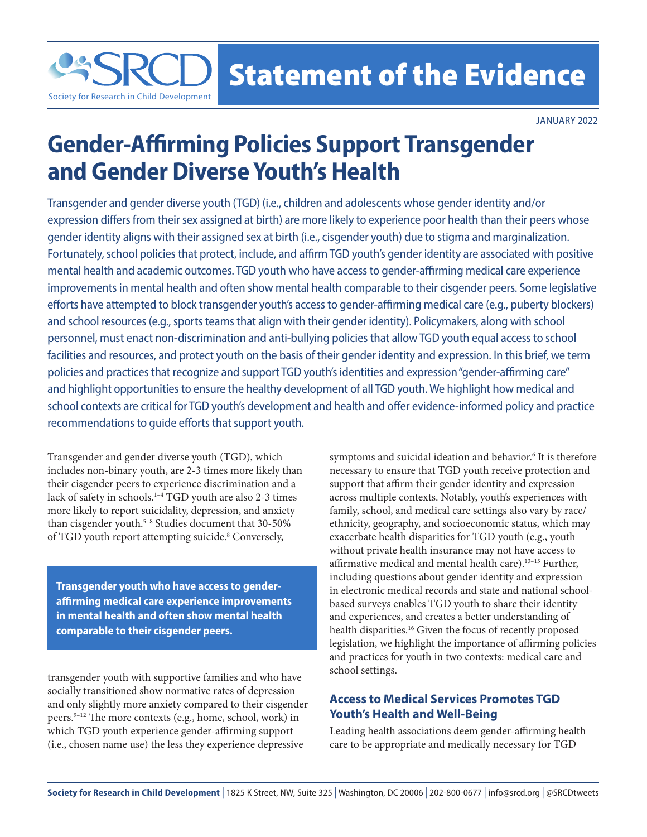Statement of the Evidence

JANUARY 2022

# **Gender-Affirming Policies Support Transgender and Gender Diverse Youth's Health**

Transgender and gender diverse youth (TGD) (i.e., children and adolescents whose gender identity and/or expression differs from their sex assigned at birth) are more likely to experience poor health than their peers whose gender identity aligns with their assigned sex at birth (i.e., cisgender youth) due to stigma and marginalization. Fortunately, school policies that protect, include, and affirm TGD youth's gender identity are associated with positive mental health and academic outcomes. TGD youth who have access to gender-affirming medical care experience improvements in mental health and often show mental health comparable to their cisgender peers. Some legislative efforts have attempted to block transgender youth's access to gender-affirming medical care (e.g., puberty blockers) and school resources (e.g., sports teams that align with their gender identity). Policymakers, along with school personnel, must enact non-discrimination and anti-bullying policies that allow TGD youth equal access to school facilities and resources, and protect youth on the basis of their gender identity and expression. In this brief, we term policies and practices that recognize and support TGD youth's identities and expression "gender-affirming care" and highlight opportunities to ensure the healthy development of all TGD youth. We highlight how medical and school contexts are critical for TGD youth's development and health and offer evidence-informed policy and practice recommendations to guide efforts that support youth.

Transgender and gender diverse youth (TGD), which includes non-binary youth, are 2-3 times more likely than their cisgender peers to experience discrimination and a lack of safety in schools.<sup>1-4</sup> TGD youth are also 2-3 times more likely to report suicidality, depression, and anxiety than cisgender youth.<sup>5-8</sup> Studies document that 30-50% of TGD youth report attempting suicide.<sup>8</sup> Conversely,

Society for Research in Child Development

**Transgender youth who have access to genderaffirming medical care experience improvements in mental health and often show mental health comparable to their cisgender peers.**

transgender youth with supportive families and who have socially transitioned show normative rates of depression and only slightly more anxiety compared to their cisgender peers.9–12 The more contexts (e.g., home, school, work) in which TGD youth experience gender-affirming support (i.e., chosen name use) the less they experience depressive

symptoms and suicidal ideation and behavior.<sup>6</sup> It is therefore necessary to ensure that TGD youth receive protection and support that affirm their gender identity and expression across multiple contexts. Notably, youth's experiences with family, school, and medical care settings also vary by race/ ethnicity, geography, and socioeconomic status, which may exacerbate health disparities for TGD youth (e.g., youth without private health insurance may not have access to affirmative medical and mental health care).13–15 Further, including questions about gender identity and expression in electronic medical records and state and national schoolbased surveys enables TGD youth to share their identity and experiences, and creates a better understanding of health disparities.16 Given the focus of recently proposed legislation, we highlight the importance of affirming policies and practices for youth in two contexts: medical care and school settings.

## **Access to Medical Services Promotes TGD Youth's Health and Well-Being**

Leading health associations deem gender-affirming health care to be appropriate and medically necessary for TGD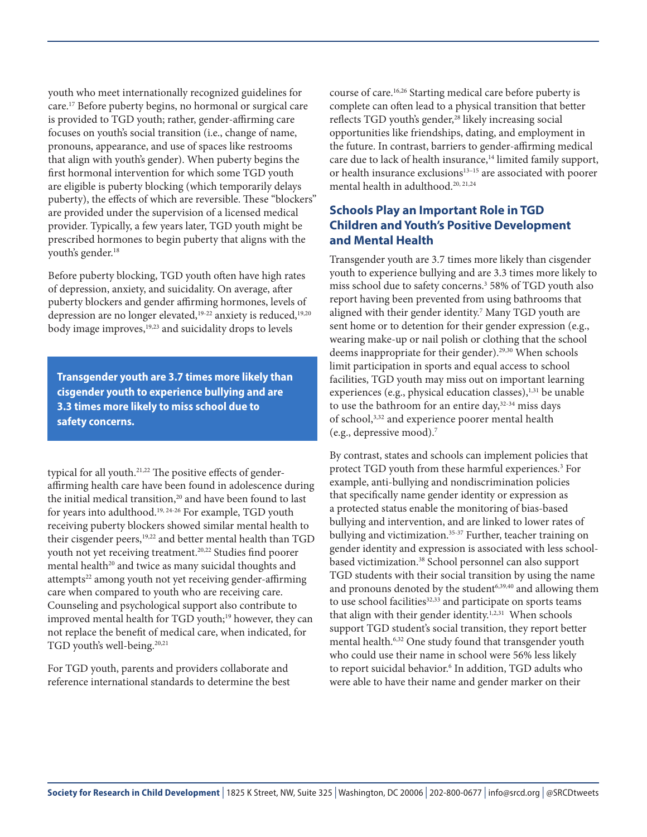youth who meet internationally recognized guidelines for care.17 Before puberty begins, no hormonal or surgical care is provided to TGD youth; rather, gender-affirming care focuses on youth's social transition (i.e., change of name, pronouns, appearance, and use of spaces like restrooms that align with youth's gender). When puberty begins the first hormonal intervention for which some TGD youth are eligible is puberty blocking (which temporarily delays puberty), the effects of which are reversible. These "blockers" are provided under the supervision of a licensed medical provider. Typically, a few years later, TGD youth might be prescribed hormones to begin puberty that aligns with the youth's gender.<sup>18</sup>

Before puberty blocking, TGD youth often have high rates of depression, anxiety, and suicidality. On average, after puberty blockers and gender affirming hormones, levels of depression are no longer elevated,<sup>19-22</sup> anxiety is reduced,<sup>19,20</sup> body image improves,<sup>19,23</sup> and suicidality drops to levels

**Transgender youth are 3.7 times more likely than cisgender youth to experience bullying and are 3.3 times more likely to miss school due to safety concerns.**

typical for all youth.<sup>21,22</sup> The positive effects of genderaffirming health care have been found in adolescence during the initial medical transition,<sup>20</sup> and have been found to last for years into adulthood.19, 24-26 For example, TGD youth receiving puberty blockers showed similar mental health to their cisgender peers,<sup>19,22</sup> and better mental health than TGD youth not yet receiving treatment.<sup>20,22</sup> Studies find poorer mental health<sup>20</sup> and twice as many suicidal thoughts and attempts<sup>22</sup> among youth not yet receiving gender-affirming care when compared to youth who are receiving care. Counseling and psychological support also contribute to improved mental health for TGD youth;<sup>19</sup> however, they can not replace the benefit of medical care, when indicated, for TGD youth's well-being.<sup>20,21</sup>

For TGD youth, parents and providers collaborate and reference international standards to determine the best course of care.16,26 Starting medical care before puberty is complete can often lead to a physical transition that better reflects TGD youth's gender,<sup>28</sup> likely increasing social opportunities like friendships, dating, and employment in the future. In contrast, barriers to gender-affirming medical care due to lack of health insurance,<sup>14</sup> limited family support, or health insurance exclusions<sup>13-15</sup> are associated with poorer mental health in adulthood.<sup>20, 21,24</sup>

## **Schools Play an Important Role in TGD Children and Youth's Positive Development and Mental Health**

Transgender youth are 3.7 times more likely than cisgender youth to experience bullying and are 3.3 times more likely to miss school due to safety concerns.3 58% of TGD youth also report having been prevented from using bathrooms that aligned with their gender identity.<sup>7</sup> Many TGD youth are sent home or to detention for their gender expression (e.g., wearing make-up or nail polish or clothing that the school deems inappropriate for their gender).<sup>29,30</sup> When schools limit participation in sports and equal access to school facilities, TGD youth may miss out on important learning experiences (e.g., physical education classes), $1,31$  be unable to use the bathroom for an entire day,<sup>32-34</sup> miss days of school,3,32 and experience poorer mental health (e.g., depressive mood).7

By contrast, states and schools can implement policies that protect TGD youth from these harmful experiences.<sup>3</sup> For example, anti-bullying and nondiscrimination policies that specifically name gender identity or expression as a protected status enable the monitoring of bias-based bullying and intervention, and are linked to lower rates of bullying and victimization.<sup>35-37</sup> Further, teacher training on gender identity and expression is associated with less schoolbased victimization.<sup>38</sup> School personnel can also support TGD students with their social transition by using the name and pronouns denoted by the student<sup>6,39,40</sup> and allowing them to use school facilities<sup>32,33</sup> and participate on sports teams that align with their gender identity.<sup>1,2,31</sup> When schools support TGD student's social transition, they report better mental health.<sup>6,32</sup> One study found that transgender youth who could use their name in school were 56% less likely to report suicidal behavior.<sup>6</sup> In addition, TGD adults who were able to have their name and gender marker on their